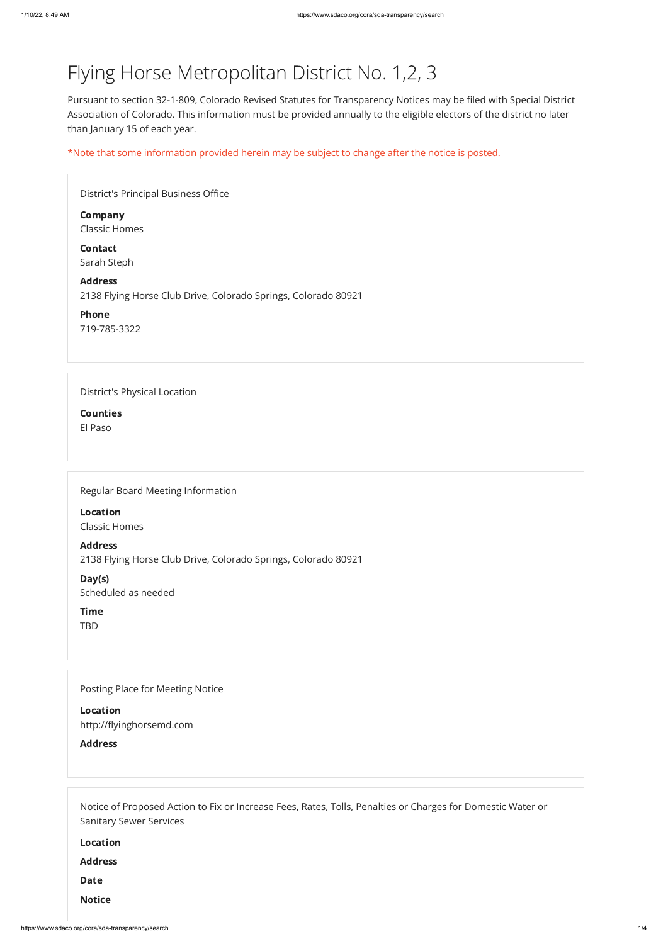# Flying Horse Metropolitan District No. 1,2, 3

Pursuant to section 32-1-809, Colorado Revised Statutes for Transparency Notices may be filed with Special District Association of Colorado. This information must be provided annually to the eligible electors of the district no later than January 15 of each year.

\*Note that some information provided herein may be subject to change after the notice is posted.

| District's Principal Business Office                                             |
|----------------------------------------------------------------------------------|
| <b>Company</b><br><b>Classic Homes</b>                                           |
| <b>Contact</b><br>Sarah Steph                                                    |
| <b>Address</b><br>2138 Flying Horse Club Drive, Colorado Springs, Colorado 80921 |
| <b>Phone</b><br>719-785-3322                                                     |
|                                                                                  |
| <b>District's Physical Location</b>                                              |
| <b>Counties</b>                                                                  |
| El Paso                                                                          |
|                                                                                  |
|                                                                                  |

Regular Board Meeting Information

Location Classic Homes

Address 2138 Flying Horse Club Drive, Colorado Springs, Colorado 80921

Day(s) Scheduled as needed

Time TBD

Posting Place for Meeting Notice

Location

http://flyinghorsemd.com

Address

Notice of Proposed Action to Fix or Increase Fees, Rates, Tolls, Penalties or Charges for Domestic Water or Sanitary Sewer Services

Location

Address

Date

Notice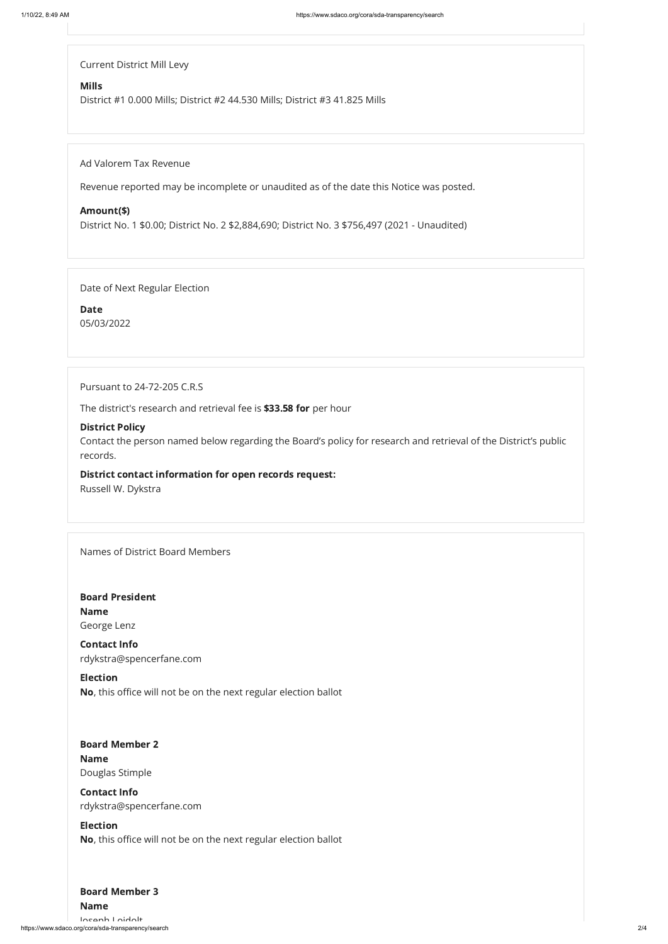Current District Mill Levy

#### Mills

District #1 0.000 Mills; District #2 44.530 Mills; District #3 41.825 Mills

Ad Valorem Tax Revenue

Revenue reported may be incomplete or unaudited as of the date this Notice was posted.

#### Amount(\$)

District No. 1 \$0.00; District No. 2 \$2,884,690; District No. 3 \$756,497 (2021 - Unaudited)

Date of Next Regular Election

Date 05/03/2022

Pursuant to 24-72-205 C.R.S

The district's research and retrieval fee is \$33.58 for per hour

### District Policy

https://www.sdaco.org/cora/sda-transparency/search 2/4 Joseph Loidolt

Contact the person named below regarding the Board's policy for research and retrieval of the District's public records.

# District contact information for open records request:

Russell W. Dykstra

Names of District Board Members

#### Board Member 2

Board President Name George Lenz

#### Board Member 3

Contact Info rdykstra@spencerfane.com

Election No, this office will not be on the next regular election ballot

Name

Douglas Stimple

# Contact Info

rdykstra@spencerfane.com

### Election

No, this office will not be on the next regular election ballot

Name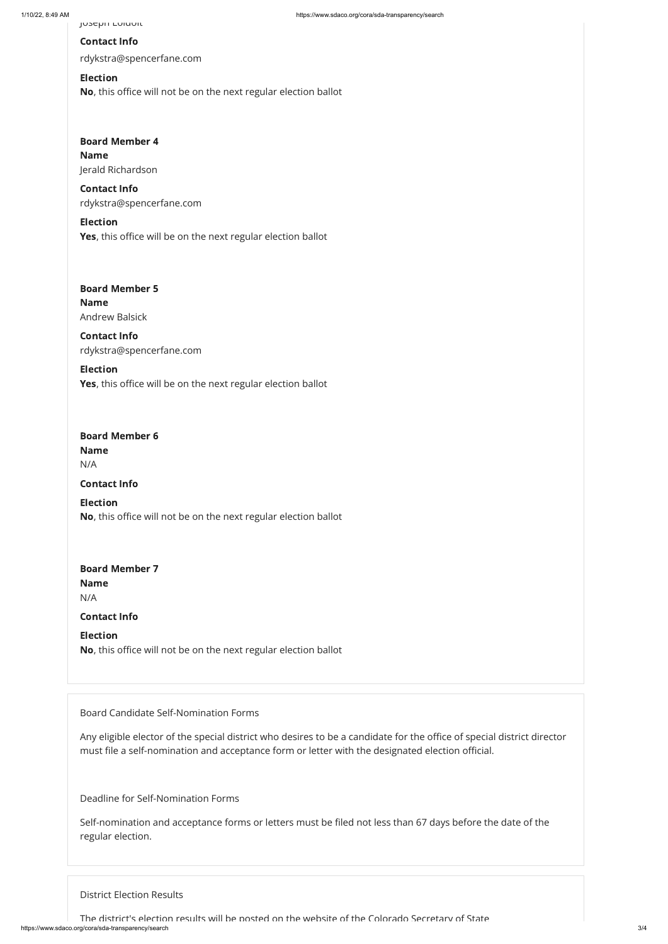# Board Member 6

# Contact Info

rdykstra@spencerfane.com

# Board Member 4 Name Jerald Richardson

#### Election

No, this office will not be on the next regular election ballot

# Board Member 5 Name Andrew Balsick

Contact Info rdykstra@spencerfane.com

#### Election

Yes, this office will be on the next regular election ballot

# Board Member 7 Name N/A

Contact Info rdykstra@spencerfane.com

# Election

Yes, this office will be on the next regular election ballot

Name

N/A

# Contact Info

Election No, this office will not be on the next regular election ballot

https://www.sdaco.org/cora/sda-transparency/search 3/4 The district's election results will be posted on the website of the Colorado Secretary of State

Contact Info

Election No, this office will not be on the next regular election ballot

Board Candidate Self-Nomination Forms

Any eligible elector of the special district who desires to be a candidate for the office of special district director must file a self-nomination and acceptance form or letter with the designated election official.

Deadline for Self-Nomination Forms

Self-nomination and acceptance forms or letters must be filed not less than 67 days before the date of the regular election.

District Election Results